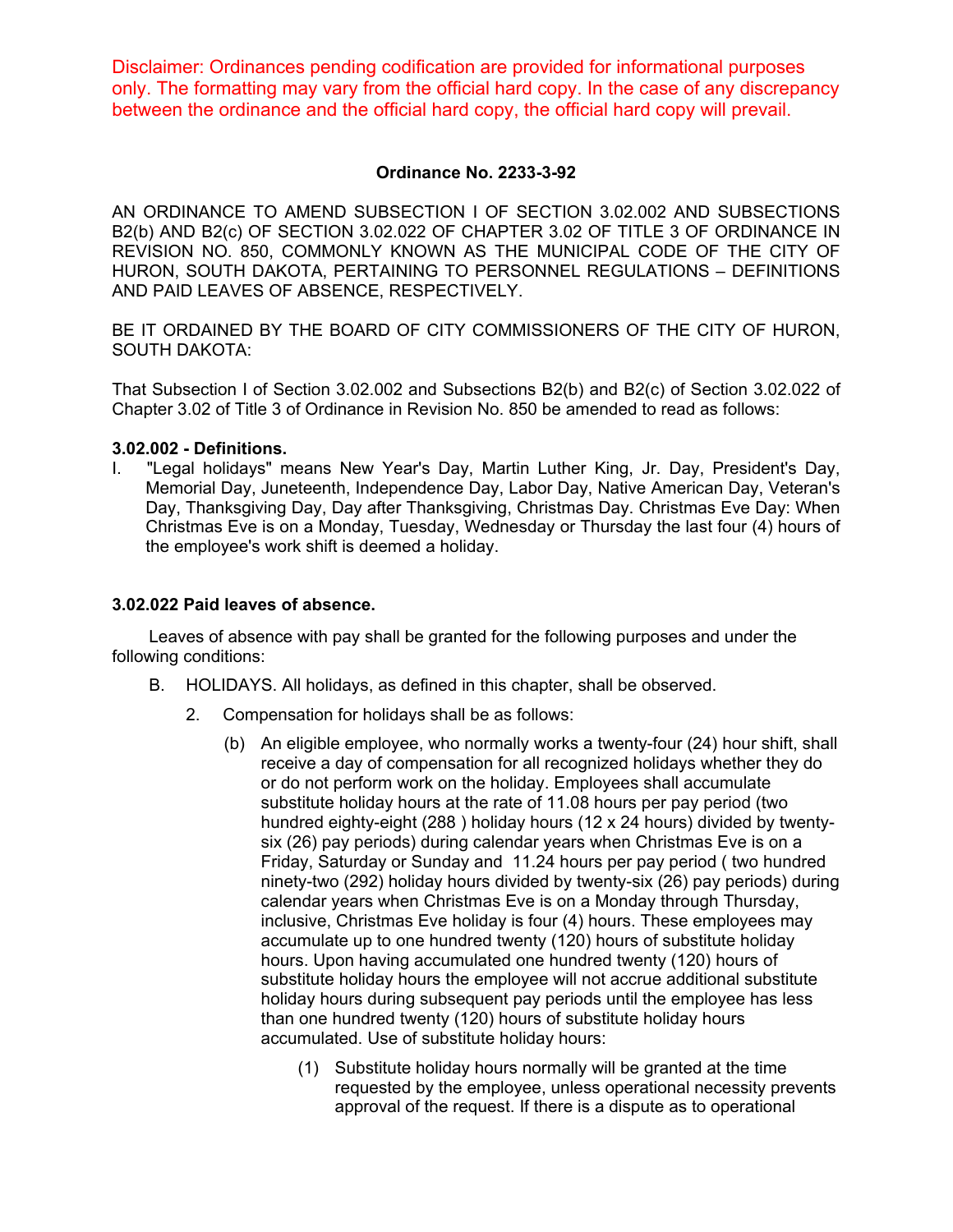Disclaimer: Ordinances pending codification are provided for informational purposes only. The formatting may vary from the official hard copy. In the case of any discrepancy between the ordinance and the official hard copy, the official hard copy will prevail.

## **Ordinance No. 2233-3-92**

AN ORDINANCE TO AMEND SUBSECTION I OF SECTION 3.02.002 AND SUBSECTIONS B2(b) AND B2(c) OF SECTION 3.02.022 OF CHAPTER 3.02 OF TITLE 3 OF ORDINANCE IN REVISION NO. 850, COMMONLY KNOWN AS THE MUNICIPAL CODE OF THE CITY OF HURON, SOUTH DAKOTA, PERTAINING TO PERSONNEL REGULATIONS – DEFINITIONS AND PAID LEAVES OF ABSENCE, RESPECTIVELY.

BE IT ORDAINED BY THE BOARD OF CITY COMMISSIONERS OF THE CITY OF HURON, SOUTH DAKOTA:

That Subsection I of Section 3.02.002 and Subsections B2(b) and B2(c) of Section 3.02.022 of Chapter 3.02 of Title 3 of Ordinance in Revision No. 850 be amended to read as follows:

## **3.02.002 - Definitions.**

I. "Legal holidays" means New Year's Day, Martin Luther King, Jr. Day, President's Day, Memorial Day, Juneteenth, Independence Day, Labor Day, Native American Day, Veteran's Day, Thanksgiving Day, Day after Thanksgiving, Christmas Day. Christmas Eve Day: When Christmas Eve is on a Monday, Tuesday, Wednesday or Thursday the last four (4) hours of the employee's work shift is deemed a holiday.

## **3.02.022 Paid leaves of absence.**

Leaves of absence with pay shall be granted for the following purposes and under the following conditions:

- B. HOLIDAYS. All holidays, as defined in this chapter, shall be observed.
	- 2. Compensation for holidays shall be as follows:
		- (b) An eligible employee, who normally works a twenty-four (24) hour shift, shall receive a day of compensation for all recognized holidays whether they do or do not perform work on the holiday. Employees shall accumulate substitute holiday hours at the rate of 11.08 hours per pay period (two hundred eighty-eight (288 ) holiday hours (12 x 24 hours) divided by twentysix (26) pay periods) during calendar years when Christmas Eve is on a Friday, Saturday or Sunday and 11.24 hours per pay period ( two hundred ninety-two (292) holiday hours divided by twenty-six (26) pay periods) during calendar years when Christmas Eve is on a Monday through Thursday, inclusive, Christmas Eve holiday is four (4) hours. These employees may accumulate up to one hundred twenty (120) hours of substitute holiday hours. Upon having accumulated one hundred twenty (120) hours of substitute holiday hours the employee will not accrue additional substitute holiday hours during subsequent pay periods until the employee has less than one hundred twenty (120) hours of substitute holiday hours accumulated. Use of substitute holiday hours:
			- (1) Substitute holiday hours normally will be granted at the time requested by the employee, unless operational necessity prevents approval of the request. If there is a dispute as to operational